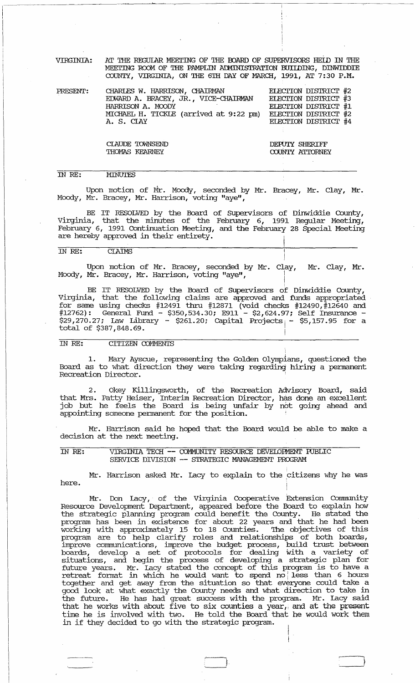VIRGINIA: AT THE REGULAR MEETING OF THE BOARD OF SUPERVISORS HEID IN THE MEETING ROOM OF THE PAMPLIN ADMINISTRATION BUIIDING, DINWIDDIE COUNTY, VIRGINIA, ON 'IHE 6TH DAY OF MARCH, 1991, AT 7:30 P.M.

| PRESENT: | CHARLES W. HARRISON, CHAIRMAN          | ELECTION DISTRICT #2 |
|----------|----------------------------------------|----------------------|
|          | EDWARD A. BRACEY, JR., VICE-CHAIRMAN   | ELECTION DISTRICT #3 |
|          | HARRISON A. MOODY                      | ELECTION DISTRICT #1 |
|          | MICHAEL H. TICKLE (arrived at 9:22 pm) | ELECTION DISTRICT #2 |
|          | A. S. CIAY                             | ELECTION DISTRICT #4 |
|          |                                        |                      |
|          | CLAUDE TOWNSEND                        | DEPUTY SHERIFF       |

DEPUTY SHERIFF COUNTY ATTORNEY

#### IN RE: **MINUTES**

THOMAS KEARNEY

Upon motion of Mr. Moody, seconded by Mr. Bracey, Mr. Clay, Mr. Moody, Mr. Bracey, Mr. Harrison, voting "aye",

BE IT RESOLVED by the Board of Supervisors of Dinwiddie County, Virginia, that the minutes of the February 6, 1991 Regular Meeting, February 6, 1991 Continuation Meeting, and the February 28 special Meeting are hereby approved in their entirety.

#### IN RE: CIAIMS

Upon motion of Mr. Bracey, seconded by Mr. Clay, Mr. clay, Mr. Moody, Mr. Bracey, Mr. Harrison, voting "aye",

BE IT RESOLVED by the Board of Supervisors of Dinwiddie County, Virginia, that the following claims are approved and funds appropriated for same using checks  $\#12491$  thru  $\#12871$  (void checks  $\#12490$ , $\#12640$  and  $#12762$ ): General Fund - \$350,534.30; E911 - \$2,624.97; Self Insurance - $$29,270.27$ ; Law Library -  $$261.20$ ; Capital Projects -  $$5,157.95$  for a  $\frac{1}{2}$   $\frac{1}{2}$   $\frac{1}{2}$   $\frac{1}{2}$   $\frac{1}{2}$   $\frac{1}{2}$   $\frac{1}{2}$   $\frac{1}{2}$   $\frac{1}{2}$   $\frac{1}{2}$   $\frac{1}{2}$   $\frac{1}{2}$   $\frac{1}{2}$   $\frac{1}{2}$   $\frac{1}{2}$   $\frac{1}{2}$   $\frac{1}{2}$   $\frac{1}{2}$   $\frac{1}{2}$   $\frac{1}{2}$   $\frac{1}{2}$   $\frac{1}{2}$ 

### IN RE: CITIZEN COMMENTS

1. Mary Ayscue, representing the Golden Olympians, questioned the Board as to what direction they were taking regarding hiring a pennanent Recreation Director.

2. Okey Killingsworth, of the Recreation Advisory Board, said that Mrs. Patty Heiser, Interim Recreation Director, has done an excellent job but he feels the Board is. being unfair by not going ahead and appointing someone pennanent for the position.

Mr. Harrison said he hoped that the Board would be able to make a decision at the next meeting.

IN RE: VIRGINIA TECH -- COMMUNITY RESOURCE DEVELOPMENT PUBLIC SERVICE DIVISION -- STRATEGIC MANAGEMENT PROGRAM

here. Mr. Harrison asked Mr. lacy to explain to the citizens why he was  $\mathbb{L}$ 

i.

<u>]</u>

Mr. Don lacy, of the Virginia Cooperative Extension community Resource Development Department, appeared before the Board to explain how the strategic planning program could benefit the County. He stated the program has been in existence for about 22 years and that he had been program has boar in answered the above is joint with the two the corrections with approximately 15 to 18 Counties. The objectives of this program are to help clarify roles and relationships of both boards, improve communications, improve the budget process, build trust between boards, develop a set of protocols for dealing with a variety of situations, and begin the process of developing a strategic plan for future years. Mr. lacy stated the concept of this program is to have a retreat format in which he would want to spend no: less than 6 hours together and get away from the situation so that everyone could take a good look at what exactly the County needs and what direction to take in the future. He has had great success with the program. Mr. Lacy said that he works with about five to six counties a year, and at the present time he is involved with two. He told the Board that he would work them in if they decided to go with the strategic program.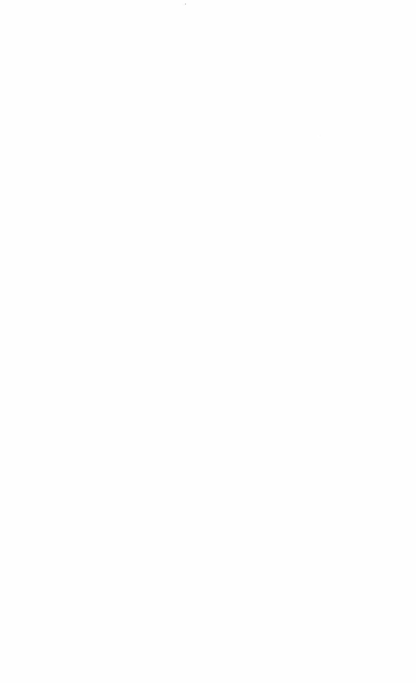$\bar{\mathcal{A}}$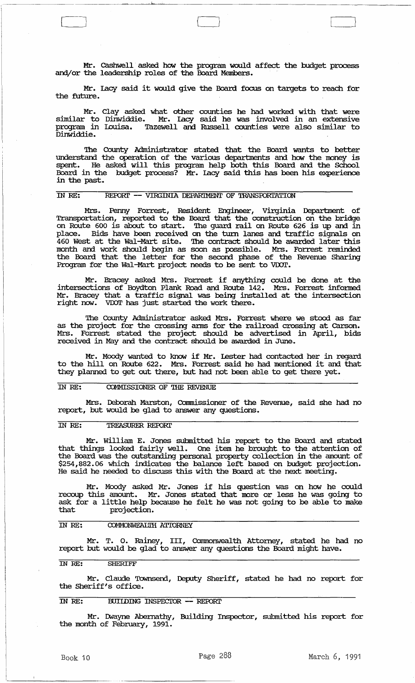Mr. cashwell asked how the program would affect the budget process and/or the leadership roles of the Board Members.

**/** 

Mr. Lacy said it would give the Board focus on targets to reach for the future.

Mr. Clay asked what other counties he had worked with that were similar to Dinwiddie. Mr. Lacy said he was involved in an extensive program in louisa. Tazewell and Russell counties were also similar to Dinwiddie.

The County Administrator stated that the Board wants to better understand the operation of the various departments and how the money is spent. He asked will this program help both this Board and the School Board in the budget process? Mr. Lacy said this has been his experience in the past.

## IN RE: REFORT -- VIRGINIA DEPARIMENT OF TRANSPORTATION

Mrs. Penny Forrest, Resident Engineer, Virginia Department of Transportation, reported to the Board that the construction on the bridge on Route 600 is about to start. '!he guard rail on Route 626 is up and in place. Bids have been received on the turn lanes and traffic signals on 460 West at the Wal-Mart site. '!he contract should be awarded later this month and work should begin as soon as possible. Mrs. Forrest reminded the Board that the letter for the second phase of the Revenue Sharing Program for the Wal-Mart project needs to be sent to VDOT.

Mr. Bracey asked Mrs. Forrest if anything could be done at the intersections of Boydton Plank Road and Route 142. Mrs. Forrest infonned. Mr. Bracey that a traffic signal was being installed at the intersection right now. voor has just started the work there.

The County Administrator asked Mrs. Forrest where we stood as far as the project for the crossing anus for the railroad crossing at carson. Mrs. Forrest stated the project should be advertised in April, bids received in May and the contract should be awarded in June.

Mr. Moody wanted to know if Mr. lester had contacted her in regard to the hill on Route 622. Mrs. Forrest said he had mentioned it and that they plarmed to get out there, but had not been able to get there yet.

# IN RE: COMMISSIONER OF THE REVENUE

Mrs. Deborah Marston, Commissioner of the Revenue, said she had no report, but would be glad to answer any questions.

#### IN RE: TREASURER REPORT

Mr. William E. Jones submitted his report to the Board and stated that things looked fairly well. One item he brought to the attention of the Board was the outstanding personal property collection in the amount of \$254,882.06 which indicates the balance left based on budget projection. He said he needed to discuss this with the Board at the next meeting.

Mr. Moody asked Mr. Jones if his question was on how he could recoup this amount. Mr. Jones stated that more or less he was going to ask for a little help because he felt he was not going to be able to make that projection. projection.

#### IN RE: CDMMONWEATIIH ATIORNEY

Mr. T. O. Rainey, III, Commonwealth Attorney, stated he had no report but would be glad to answer any questions the Board might have.

# IN RE: SHERIFF

Mr. Claude Townsend, Deputy Sheriff, stated he had no report for the Sheriff's office.

#### IN RE: BUIIDING INSPECTOR -- REPORT

Mr. DNayne Abernathy, Building Inspector, submitted his report for the month of February, 1991.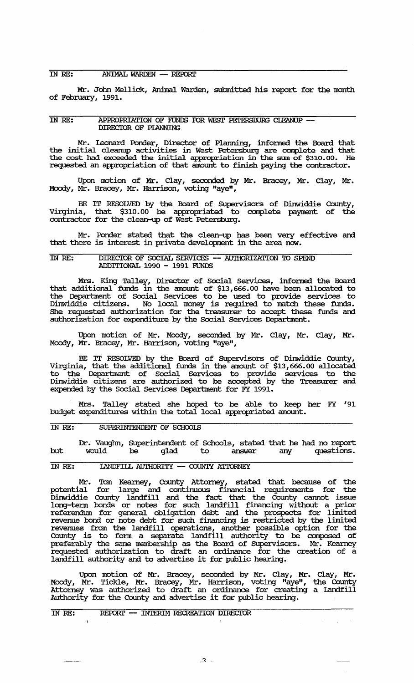# m RE: ANIMAL WARDEN - REroRr

Mr. John Mellick, Animal Warden, submitted his report for the month of February, 1991.

### IN RE: APPROPRIATION OF FUNDS FOR WEST PETERSBURG CLEANUP --DIRECTOR OF PIANNING

Mr. leonard Ponder, Director of Planning, infonned the Board that the initial cleanup activities in West Petersburg are complete and that the cost had exceeded the initial appropriation in the sma of \$310.00. He requested an appropriation of that amount to finish paying the contractor.

Upon motion of Mr. Clay, seconded by Mr. Bracey, Mr. Clay, Mr. Moody, Mr. Bracey, Mr. Harrison, voting "aye",

BE IT RESOLVED by the Board of SUpervisors of Dinwiddie County, Virginia, that \$310.00 be appropriated to complete payment of the contractor for the clean-up of West Petersburg.

Mr. Ponder stated that the clean-up has been very effective and that there is interest in private development in the area now.

### IN RE: DIRECTOR OF SOCIAL SERVICES -- AUTHORIZATION TO SPEND ADDITIONAL 1990 - 1991 FUNDS

Mrs. King Talley, Director of Social Services, infonned the Board that additional funds in the amount of \$13,666.00 have been allocated to the Department of Social services to be used to provide services to Dinwiddie citizens. No local money is required to natch these funds. She requested authorization for the treasurer to accept these funds and authorization for expenditure by the Social Services Department.

Upon motion of Mr. Moody, seconded by Mr. Clay, Mr. Clay, Mr. Moody, Mr. Bracey, Mr. Harrison, voting "aye",

BE IT RESOLVED by the Board of SUpervisors of Dinwiddie County, Virginia, that the additional funds in the amount of \$13,666.00 allocated to the Department of Social Services to provide services to the Dinwiddie citizens are authorized to be accepted by the Treasurer and expended by the Social Services Department for FY 1991.

Mrs. Talley stated she hoped to be able to keep her FY '91 budget expenditures within the total local appropriated amount.

### m RE: SUPERINTENDENT OF SCHooIS

Dr. Vaughn, Superintendent of Schools, stated that he had no report but would be glad to answer any questions.

### IN RE: IANDFILL AUTHORITY -- COUNTY ATTORNEY

Mr. Tom Kearney, County Attorney, stated that because of the potential for large and continuous financial requirements for the Dinwiddie County landfill and the fact that the County cannot issue long-tenn bonds or notes for such. landfill financing without a prior referendum for general obligation debt and the prospects for limited revenue bond or note debt for such financing is restricted by the limited revenues from the landfill operations, another possible option for the County is to fonn a separate landfill authority to be camposed of preferably the same membership as the Board of Supervisors. Mr. Kearney requested authorization to draft an ordinance for the creation of a landfill authority and to advertise it for public hearing.

Upon motion of Mr. Bracey, seconded by Mr. Clay, Mr. Clay, Mr. Moody, Mr. Tickle, Mr. Bracey, Mr. Harrison, voting "aye", the County Attorney was authorized to draft an ordinance for creating a Landfill Authority for the County and advertise it for public hearing.

# IN RE: REPORT -- INTERIM RECREATION DIRECTOR

 $-$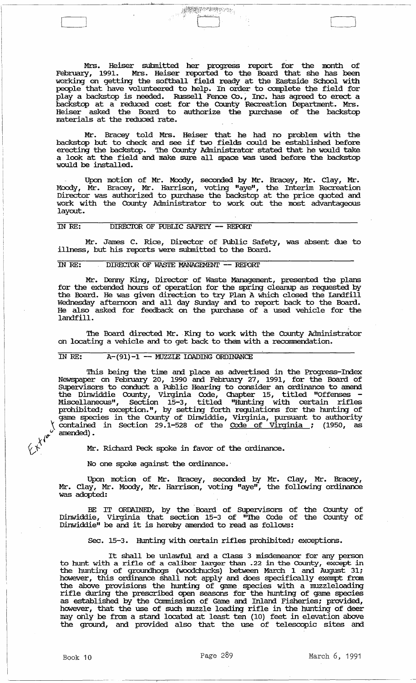Mrs. Heiser submitted her progress report for the month of February, 1991. Mrs. Heiser reported to the Board that she has been February, 1991. Mrs. Heiser reported to the Board that she has been<br>working on getting the softball field ready at the Eastside School with people that have volunteered to help. In order to complete the field for play a backstop is needed. Russell Fence Co., Inc. has agreed to erect a backstop at a reduced cost for the County Recreation Department. Mrs. Heiser asked the Board to authorize the purchase of the backstop materials at the reduced rate.

 $;$   $;$   $\frac{1}{2}$   $\frac{1}{2}$   $\frac{1}{2}$   $\frac{1}{2}$   $\frac{1}{2}$   $\frac{1}{2}$   $\frac{1}{2}$   $\frac{1}{2}$   $\frac{1}{2}$   $\frac{1}{2}$   $\frac{1}{2}$   $\frac{1}{2}$   $\frac{1}{2}$   $\frac{1}{2}$   $\frac{1}{2}$   $\frac{1}{2}$   $\frac{1}{2}$   $\frac{1}{2}$   $\frac{1}{2}$   $\frac{1}{2}$   $\frac{1}{2}$   $\frac$ LJ . .\' [=:J

Mr. Bracey told Mrs. Heiser that he had no problem with the backstop but to check and see if two fields could be established before erecting the backstop. The County Administrator stated that he would take a look at the field and make sure all space was used before the backstop would be installed.

Upon motion of Mr. Moody, seconded by Mr. Bracey, Mr. Clay, Mr. Moody, Mr. Bracey, Mr. Harrison, voting "aye", the Interim Recreation Director was authorized to purchase the backstop at the price quoted and work with the County Administrator to work out the most advantageous layout.

#### IN RE: DIRECTOR OF PUBLIC SAFEIY -- REPORT

.L

Mr. James C. Rice, Director of Public Safety, was absent due to illness, but his reports were submitted to the Board.

# IN RE: DIRECTOR OF WASTE MANAGEMENT -- REPORT

Mr. Dermy King, Director of Waste Management, presented the plans for the extended hours of operation for the spring cleanup as requested by the Board. He was given direction to try Plan A which closed the Landfill Wednesday afternoon and all day SUnday and to report back to the Board. He also asked for feedback on the purchase of a used vehicle for the landfill.

The Board directed Mr. King to work with the County Administrator on locating a vehicle and to get back to them with a recommendation.

# IN RE:  $A-(91)-1$  -- MUZZLE LOADING ORDINANCE

This being the time and place as advertised in the Progress-Index Newspaper on February 20, 1990 and February 27, 1991, for the Board of Supervisors to conduct a Public Hearing to consider an ordinance to amend the Dinwiddie County, Virginia Code, Chapter 15, titled "Offenses - Miscellaneous" , Section 15-3, titled "Hunting with certain rifles prohibited; exception.", by setting forth regulations for the hunting of game species in the County of Dinwiddie, Virginia, pursuant to authority  $\chi$  contained in Section 29.1-528 of the Code of Virginia ; (1950, as  $_{i\ell}^{\omega^{\lambda}}$  amended).  $\left\langle \!\! \left\langle \!\! \left\langle \!\! \left\langle \right\rangle \!\! \right\rangle \!\! \right\rangle \right\rangle$  Mr. Richard Peck spoke in favor of the ordinance.

No one spoke against the ordinance.'

Upon motion of Mr. Bracey, seconded by Mr. Clay, Mr. Bracey, Mr. Clay, Mr. Moody, Mr. Harrison, voting "aye", the following ordinance was adopted:

BE IT ORDAINED, by the Board of Supervisors of the County of Dinwiddie, Virginia that section 15-3 of "The Code of the County of Dinwiddie, Virginia that section 15-3 of "The Code or Dinwiddie" be and it is hereby amended to read as follows:

Sec. 15-3. Hunting with certain rifles prohibited; exceptions.

It shall be unlawful and a Class 3 misdemeanor for any person to hunt with a rifle of a caliber larger than .22 in the County, except in the hunting of groundhogs (woodchucks) between March 1 and August 31; however, this ordinance shall not apply and does specifically exempt fram the above provisions the hunting of game. species with a muzzleloading rifle during the prescribed open seasons for the hunting of game species as established by the Commission of Game and Inland Fisheries; provided, however, that the use of such muzzle loading rifle in the hunting of deer may only be fram a stand located at least ten (10) feet in elevation above the ground, and provided also that the use of telescopic sites and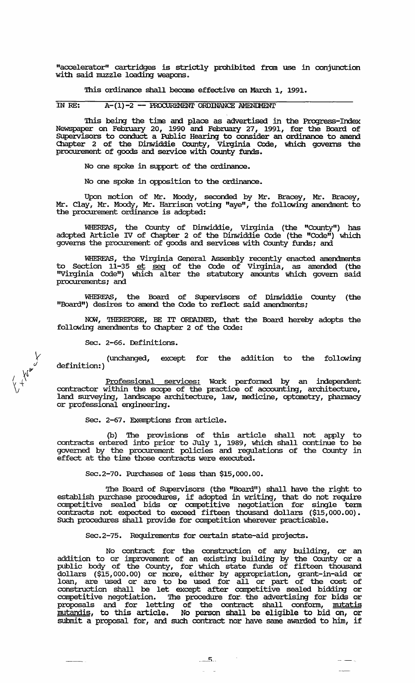"accelerator" cartridges is strictly prohibited from use in conjunction with said muzzle loading weapons.

This ordinance shall become effective on March 1, 1991.

IN RE:  $A-(1)-2$  -- PROCUREMENT ORDINANCE AMENIMENT

This being the time and place as advertised in the Progress-Index Newspaper on February 20, 1990 and February 27, 1991, for the Board of Supervisors to conduct a Public Hearing to consider an ordinance to amend Chapter 2 of the Dinwiddie County, Virginia Code, which governs the procurement of goods and service with County funds.

No one spoke in support of the ordinance.

No one spoke in opposition to the ordinance.

Upon motion of Mr. Moody, seconded by Mr. Bracey, Mr. Bracey, Mr. Clay, Mr. Moody, Mr. Harrison voting "aye", the following amendment to the procurement ordinance is adopted:

WHEREAS, the County of Dinwiddie, Virginia (the "County") has adopted Article IV of Chapter 2 of the Dinwiddie Code (the "Code") which governs the procurement of goods and services with County funds; and

WHEREAS, the Virginia General Assembly recently enacted amendments to Section 11-35 et seq of the Code of Virginia, as amended (the "Virginia Code") which alter the statutory amounts which govern said procurements; and

WHEREAS, the Board of Supervisors of Dinwiddie County (the "Board") desires to amend the Code to reflect said amendments;

NOW, THEREFORE, BE IT ORDAINED, that the Board hereby adopts the following amendments to Chapter 2 of the Code:

Sec. 2-66. Definitions.

 $\langle$ *cJ*   $\aleph^{\mu}$ 

 $\langle \downarrow^{\Lambda} \rangle$ 

(unchanged, except for the addition to the following definition: )

Professional services: Work performed by an independent contractor within the scope of the practice of accounting, architecture, land surveying, landscape architecture, law, medicine, optometry, pharmacy or professional engineering.

Sec. 2-67. Exemptions from article.

(b) The provisions of this article shall not apply to contracts entered into prior to July 1, 1989, which shall continue to be governed by the procurement policies and regulations of the County in effect at the time those contracts were executed.

Sec. 2-70. Purchases of less than \$15,000.00.

The Board of SUpervisors (the "Board") shall have the right to establish purchase procedures, if adopted in writing, that do not require competitive sealed bids or competitive negotiation for single tenn contracts not expected to exceed fifteen thousand dollars (\$15,000.00). SUch procedures shall provide for competition wherever practicable.

Sec. 2-75. Requirements for certain state-aid projects.

No contract for the construction of any building, or an addition to or inprovement of an existing building by the County or a public body of the County, for which state funds of fifteen thousand dollars (\$15,000.00) or more, either by appropriation, grant-in-aid or loan, are used or are to be used for all or part of the cost of construction shall be let except after competitive sealed bidding or competitive negotiation. '!he procedure for. the advertising for bids or proposals and for letting of the contract shall confonn, mutatis mutandis, to this article. No person shall be eligible to bid on, or submit a proposal for, and such. contract nor have same awarded to him, if

 $-5.$ .

 $\frac{1}{2} \left( \frac{1}{2} \right) \left( \frac{1}{2} \right) \left( \frac{1}{2} \right) \left( \frac{1}{2} \right) \left( \frac{1}{2} \right) \left( \frac{1}{2} \right) \left( \frac{1}{2} \right) \left( \frac{1}{2} \right) \left( \frac{1}{2} \right) \left( \frac{1}{2} \right) \left( \frac{1}{2} \right) \left( \frac{1}{2} \right) \left( \frac{1}{2} \right) \left( \frac{1}{2} \right) \left( \frac{1}{2} \right) \left( \frac{1}{2} \right) \left( \frac$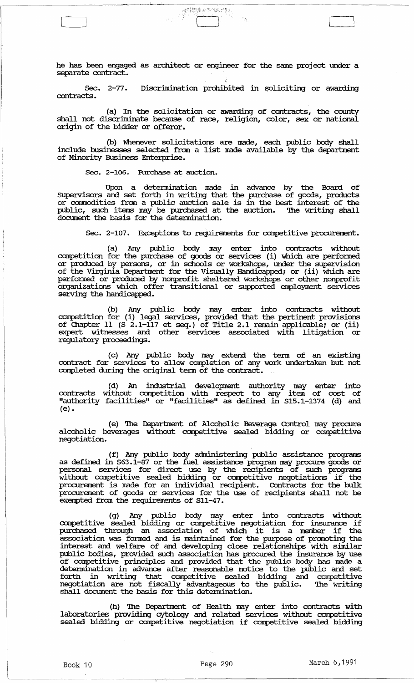he has been engaged as architect or engineer for the same project under a separate contract.

I . . \

 $\begin{pmatrix} 1 & 1 \\ 1 & 1 \end{pmatrix}$ 

Sec. 2-77. Discrimination prohibited in soliciting or awarding contracts.

(a) In the solicitation or awarding of contracts, the county shall not discriminate because of race, religion, color, sex or national origin of the bidder or offeror.

(b) Whenever solicitations are made, each public body shall include businesses selected from a list made available by the department of Minority Business Enterprise.

Sec. 2-106. Purchase at auction.

Upon a determination made in advance by the Board of SUpervisors and set forth in writing that the purchase of goods, products or commodities from a public auction sale is in the best interest of the public, such items may be purchased at the auction. The writing shall docmnent the basis for the determination.

Sec. 2-107. Exceptions to requirements for competitive procurement.

(a) Any public body may enter into contracts without competition for the purchase of goods or services (i) which are performed or produced by persons, or in schools or workshops, under the supervision of the Virginia Department for the visually Handicapped; or (ii) which are perfonned or produced by nonprofit sheltered workshops or other nonprofit organizations which offer transitional or supported employment services serving the handicapped.

(b) Any public body may enter into contracts without competition for (i) legal services, provided that the pertinent provisions of Chapter 11 (S 2.1-117 et seq.) of Title 2.1 remain applicable; or (ii) expert witnesses and other services associated with litigation or regulatory proceedings.

(c) Any public body may extend the term of an existing contract for services to allow completion of any work undertaken but not completed during the original tenn of the contract.

(d) An industrial development authority may enter into contracts without competition with respect to any item of cost of "authority facilities" or "facilities" as defined in SI5.1-1374 (d) and  $(e)$ .

(e) '!he Department of Alcoholic Beverage Control may procure alcoholic beverages without competitive sealed bidding or competitive negotiation.

(f) Any public body administering public assistance programs as defined in S63.1-87 or the fuel assistance program may procure goods or personal services for direct use by the recipients of such programs without competitive sealed bidding or competitive negotiations if the procurement is made for an individual recipient. Contracts for the bulk procurement of goods or services for the use of recipients shall not be exempted from the requirements of SII-47.

(g) Any public body may enter into contracts without competitive sealed bidding or competitive negotiation for insurance if competitive seared bioding or competitive negotiation for insurance if the purchased through an association of which it is a member if the association was fonned and is maintained for the purpose of promoting the interest and welfare of and developing close relationships with similar public bodies, provided such association has procured the insurance by use of COl1q;)etitive principles and provided that the public body has made a detennination in advance after reasonable notice to the public and set forth in writing that competitive sealed bidding and competitive negotiation are not fiscally advantageous to the public. '!he writing shall docmnent the basis for this determination.

(h) '!he Department of Health may enter into contracts with laboratories providing cytology and related services without competitive<br>sealed bidding or competitive negotiation if competitive sealed bidding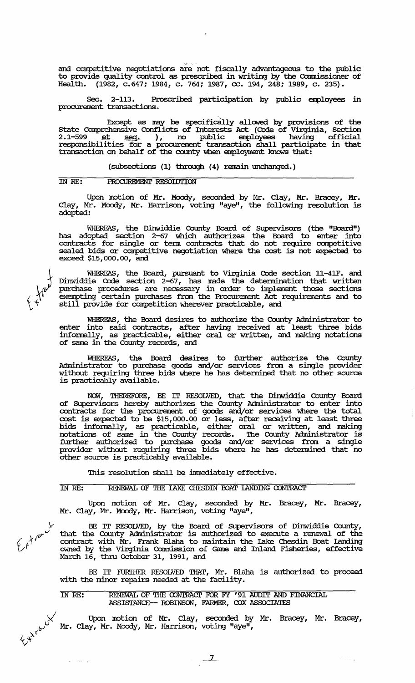and competitive negotiations are not fiscally advantageous to the public to provide quality control as prescribed in writing by the Conunissioner of Health. (1982, c.647; 1984, c. 764; 1987, cc. 194, 248; 1989, c. 235).

Sec. 2-113. Proscribed participation by public enployees in procurement transactions.

Except as may be specifically allowed by provisions of the State Comprehensive Conflicts of Interests Act (Code of Virginia, Section 2.1-599 et seq. ), no public employees having official responsibilities for a procurenent transaction shall participate in that transaction on behalf of the county when enployment knows that:

(subsections (1) through (4) remain unchanged.)

# IN RE: PROCUREMENT RESOLUTION

Upon motion of Mr. Moody, seconded by Mr. Clay, Mr. Bracey, Mr. Clay, Mr. Moody, Mr. Harrison, voting "aye", the following resolution is adopted:

WHEREAS, the Dinwiddie County Board of SUpervisors (the "Board") has adopted section 2-67 which authorizes the Board to enter into contracts for single or tenn contracts that do not require conpetitive sealed bids or competitive negotiation where the cost is not expected to exceed \$15,000.00, and

WHEREAS, the Board, pursuant to Virginia Code section 11-4IF. and Dinwiddie Code section  $2-67$ , has made the determination that written purchase procedures are necessary in order to implement those sections exempting certain purchases from the Procurement Act requirements and to still provide for competition wherever practicable, and

WHEREAS, the Board desires to authorize the County Administrator to enter into said contracts, after having received at least three bids infonnally, as practicable, either oral or written, and making notations of same in the County records, and

WHEREAS, the Board desires to further authorize the County Administrator to purchase goods and/or services from a single provider without requiring three bids where he has determined that no other source is practicably available.

NOW, THEREFORE, BE IT RESOLVED, that the Dinwiddie County Board of SUpervisors hereby authorizes the County Administrator to enter into contracts for the procurement of goods and/or services where the total cost is expected to be \$15,000.00 or less, after receiving at least three bids infonnally, as practicable, either oral or written, and making notations of same in the County records. The County Administrator is further authorized to purchase goods and/or services from a single provider without requiring three bids where he has detennined that no other source is practicably available.

This resolution shall be immediately effective.

IN RE: RENEWAL OF THE LAKE CHESDIN BOAT LANDING CONTRACT

Upon motion of Mr. clay, seconded by Mr. Bracey, Mr. Bracey, Mr. Clay, Mr. Moody, Mr. Harrison, voting "aye",

BE IT RESOLVED, by the Board of SUpervisors of Dinwiddie County, that the County Administrator is authorized to execute a renewal of the contract with Mr. Frank Blaha to maintain the Lake Chesdin Boat Landing owned by the Virginia Commission of Game and Inland Fisheries, effective March. 16, thru october 31, 1991, and

BE IT FURIHER RESOLVED THAT, Mr. Blaha is authorized to proceed with the minor repairs needed at the facility.

IN RE: RENEWAL OF THE CONTRACT FOR FY '91 AUDIT AND FINANCIAL ASSISTANCE-- ROBINSON, FARMER, COX ASSOCIATES

 $\frac{1}{\sqrt{2}}$  Upon motion of Mr. Clay, seconded by Mr. Bracey, Mr. Bracey,  $\omega^\cup$  Mr. Clay, Mr. Moody, Mr. Harrison, voting "aye",

 $\chi_{0}$  $\mathcal{L}_{\mathcal{H}_{\bm{\lambda}}}$ 

c./ *{ 1'10"*   $\mathfrak{c}$ 

Elgyword

*y* 

*\_l* 

 $\epsilon = \epsilon + \epsilon_{\rm eff}$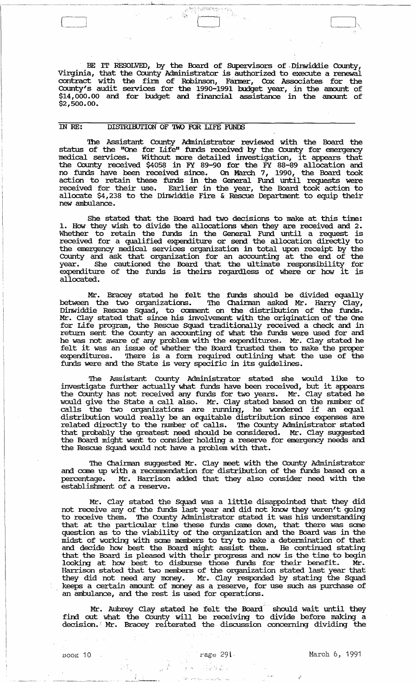BE IT RESOLVED, by the Board of Supervisors of Dinwiddie County, Virginia, that the County Administrator is authorized to execute a renewal contract with the firm of Robinson, Farmer, Cox Associates for the County's audit services for the 1990-1991 budget year, in the amount of \$14,000.00 and for budget and financial assistance in the amount of \$2,500.00.

CJ

**BARRAHYL** 

# IN RE: DISTRIBUTION OF TWO FOR LIFE FUNDS

'!he Assistant County Administrator reviewed with the Board the status of the "One for Life" funds received by the County for emergency medical services. Without more detailed investigation, it appears that the County received \$4058 in FY 89-90 for the FY 88-89 allocation am no funds have been received since. On March 7, 1990, the Board took action to retain these funds in the General Fund until requests were received for their use. Earlier in the year, the Board took action to allocate \$4,238 to the Dinwiddie Fire & Rescue Department to equip their new ambulance.

She stated that the Board had two decisions to make at this time: 1. How they wish to divide the allocations when they are received and 2. Whether to retain the funds in the General Fund until a request is received for a qualified expenditure or send the allocation directly to the emergency medical services organization in total upon receipt by the County and ask that organization for an accounting at the end of the year. She cautioned the Board that the ultimate responsibility for expenditure of the funds is theirs regardless of where or how it is allocated.

Mr. Bracey stated he felt the funds should be divided equally between the two organizations. 'Ihe Chainnan asked Mr. Harry Clay, Dinwiddie Rescue Squad, to ccmnent on the distribution of the funds. Mr. Clay stated that since his irwolvement with the origination of the One for Life program, the Rescue Squad traditionally received a check and in return sent the County an accounting of what the funds were used for and he was not aware of any problem with the expenditures. Mr. Clay stated he felt it was an issue of whether the Board trusted them to make the proper expenditures. There is a form required outlining what the use of the funds were and the state is very specific in its guidelines.

'Ihe Assistant County Administrator stated she would like to investigate further actually what funds have been receiVed, but it appears the County has not received any funds for two years. Mr. Clay stated he would give the state a call also. Mr. Clay stated based on the number of would give the state a call also. In: clay stated based on the humber of calls the two organizations are running, he wondered if an equal distribution would really be an equitable distribution since expenses are related directly to the number of calls. '!he County Administrator stated that probably the greatest need should be considered. Mr. Clay suggested the Board might want to consider holding a reserve for emergency needs and the Rescue Squad would not have a problem with that.

The Chairman suggested Mr. Clay meet with the County Administrator and come up with a recommendation for distribution of the funds based on a percentage. Mr. Harrison added that they also consider need with the establishment of a reserve.

Mr. Clay stated the Squad was a little disappointed that they did not receive any of the funds last year and did not know they weren't going to receive them. The County Administrator stated it was his understanding that at the particular time these funds came down, that there was some question as to the viability of the organization and the Board was in the midst of working with some members to try to make a determination of that and decide how best the Board might assist them. He continued stating that the Board is pleased with their progress and now is the time to begin looking at how best to disburse those funds for their benefit. Mr. Harrison stated that two members of the organization stated last year that they did not need any money. Mr.. Clay responded by stating the Squad keeps a certain amount of money as a reserve, for use such as purchase of an ambulance, and the rest is used for operations.

Mr. Aubrey Clay stated he felt the Board should wait until they find out what the County will be receiving to divide before making a decision. Mr. Bracey reiterated the discussion concerning dividing the

.<br>. با يا يا جاي